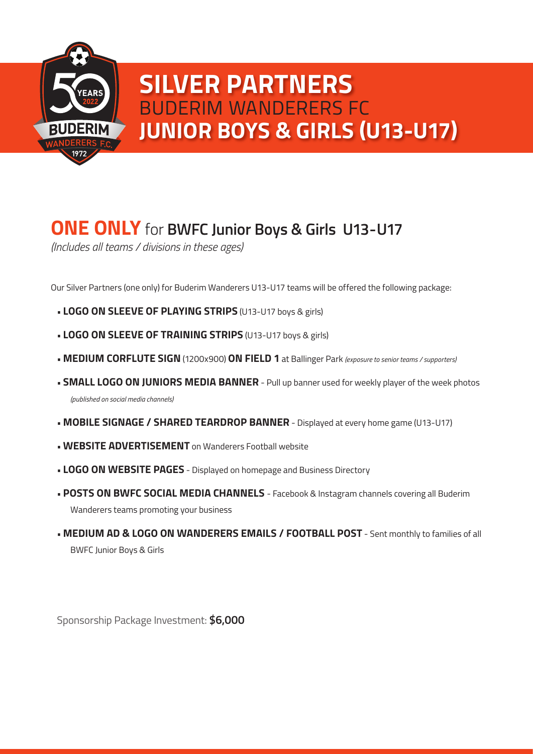

## **JUNIOR BOYS & GIRLS (U13-U17) SILVER PARTNERS** BUDERIM WANDERERS FC

## **ONE ONLY** for **BWFC Junior Boys & Girls U13-U17**

*(Includes all teams / divisions in these ages)*

Our Silver Partners (one only) for Buderim Wanderers U13-U17 teams will be offered the following package:

- **LOGO ON SLEEVE OF PLAYING STRIPS** (U13-U17 boys & girls)
- **LOGO ON SLEEVE OF TRAINING STRIPS** (U13-U17 boys & girls)
- **MEDIUM CORFLUTE SIGN** (1200x900) **ON FIELD 1** at Ballinger Park *(exposure to senior teams / supporters)*
- **SMALL LOGO ON JUNIORS MEDIA BANNER** Pull up banner used for weekly player of the week photos *(published on social media channels)*
- **MOBILE SIGNAGE / SHARED TEARDROP BANNER** Displayed at every home game (U13-U17)
- **WEBSITE ADVERTISEMENT** on Wanderers Football website
- **LOGO ON WEBSITE PAGES** Displayed on homepage and Business Directory
- **POSTS ON BWFC SOCIAL MEDIA CHANNELS**  Facebook & Instagram channels covering all Buderim Wanderers teams promoting your business
- **MEDIUM AD & LOGO ON WANDERERS EMAILS / FOOTBALL POST** Sent monthly to families of all BWFC Junior Boys & Girls

Sponsorship Package Investment: **\$6,000**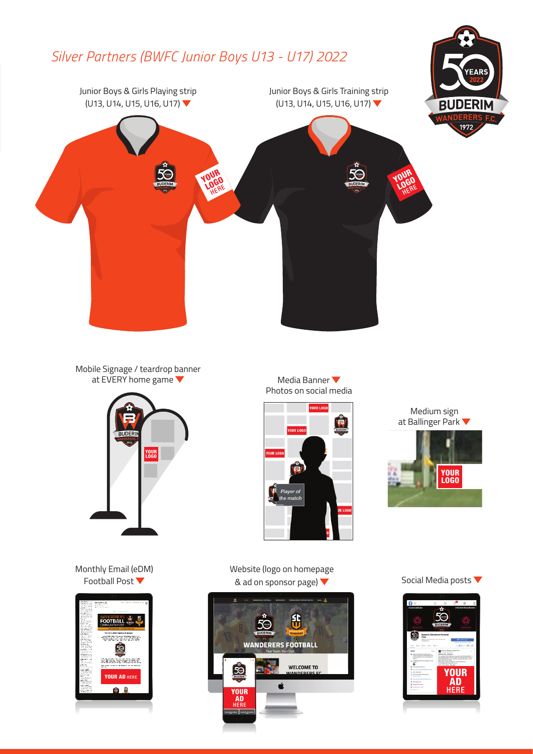

Mobile Signage / teardrop banner at EVERY home game



Monthly Email (eDM) Football Post



Media Banner Photos on social media



Medium sign at Ballinger Park



Website (logo on homepage & ad on sponsor page)



Social Media posts